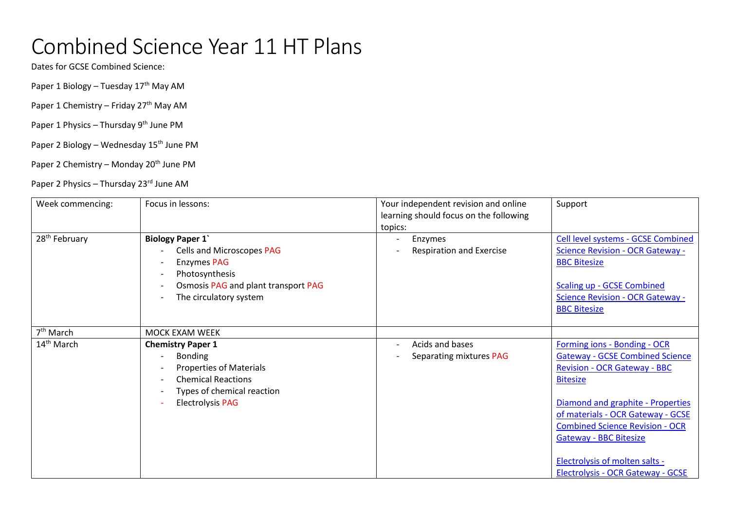## Combined Science Year 11 HT Plans

Dates for GCSE Combined Science:

Paper 1 Biology – Tuesday 17<sup>th</sup> May AM

Paper 1 Chemistry – Friday 27<sup>th</sup> May AM

Paper 1 Physics – Thursday 9<sup>th</sup> June PM

Paper 2 Biology – Wednesday 15<sup>th</sup> June PM

Paper 2 Chemistry – Monday 20<sup>th</sup> June PM

Paper 2 Physics – Thursday 23<sup>rd</sup> June AM

| Week commencing:          | Focus in lessons:                                                                                                                                                                              | Your independent revision and online<br>learning should focus on the following<br>topics: | Support                                                                                                                                                                                                                                                                                                                                                      |
|---------------------------|------------------------------------------------------------------------------------------------------------------------------------------------------------------------------------------------|-------------------------------------------------------------------------------------------|--------------------------------------------------------------------------------------------------------------------------------------------------------------------------------------------------------------------------------------------------------------------------------------------------------------------------------------------------------------|
| 28 <sup>th</sup> February | <b>Biology Paper 1'</b><br>Cells and Microscopes PAG<br><b>Enzymes PAG</b><br>Photosynthesis<br>$\overline{\phantom{a}}$<br>Osmosis PAG and plant transport PAG<br>The circulatory system      | Enzymes<br><b>Respiration and Exercise</b>                                                | Cell level systems - GCSE Combined<br><b>Science Revision - OCR Gateway -</b><br><b>BBC Bitesize</b><br><b>Scaling up - GCSE Combined</b><br><b>Science Revision - OCR Gateway -</b><br><b>BBC Bitesize</b>                                                                                                                                                  |
| 7 <sup>th</sup> March     | MOCK EXAM WEEK                                                                                                                                                                                 |                                                                                           |                                                                                                                                                                                                                                                                                                                                                              |
| 14 <sup>th</sup> March    | <b>Chemistry Paper 1</b><br><b>Bonding</b><br><b>Properties of Materials</b><br><b>Chemical Reactions</b><br>$\overline{\phantom{a}}$<br>Types of chemical reaction<br><b>Electrolysis PAG</b> | Acids and bases<br>Separating mixtures PAG                                                | Forming ions - Bonding - OCR<br><b>Gateway - GCSE Combined Science</b><br><b>Revision - OCR Gateway - BBC</b><br><b>Bitesize</b><br>Diamond and graphite - Properties<br>of materials - OCR Gateway - GCSE<br><b>Combined Science Revision - OCR</b><br><b>Gateway - BBC Bitesize</b><br>Electrolysis of molten salts -<br>Electrolysis - OCR Gateway - GCSE |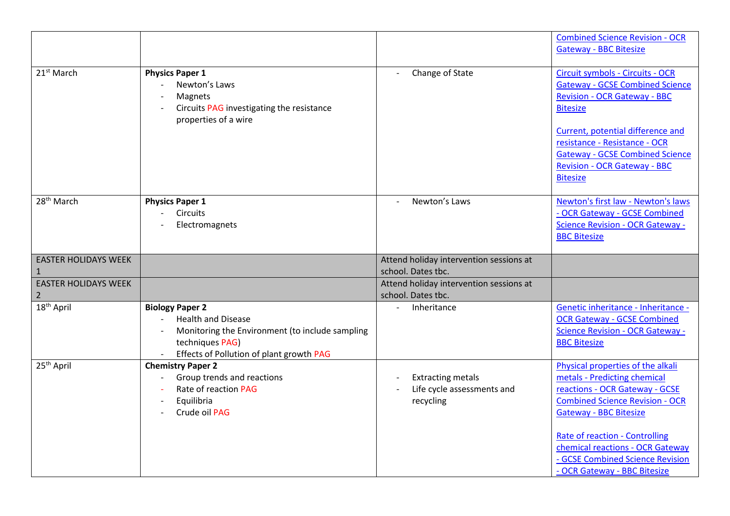|                                               |                                                                                                                                                                       |                                                                     | <b>Combined Science Revision - OCR</b><br><b>Gateway - BBC Bitesize</b>                                                                                                                                                                                                                                                  |
|-----------------------------------------------|-----------------------------------------------------------------------------------------------------------------------------------------------------------------------|---------------------------------------------------------------------|--------------------------------------------------------------------------------------------------------------------------------------------------------------------------------------------------------------------------------------------------------------------------------------------------------------------------|
| 21 <sup>st</sup> March                        | <b>Physics Paper 1</b><br>Newton's Laws<br>Magnets<br>Circuits PAG investigating the resistance<br>properties of a wire                                               | Change of State                                                     | Circuit symbols - Circuits - OCR<br><b>Gateway - GCSE Combined Science</b><br><b>Revision - OCR Gateway - BBC</b><br><b>Bitesize</b><br>Current, potential difference and<br>resistance - Resistance - OCR<br><b>Gateway - GCSE Combined Science</b><br><b>Revision - OCR Gateway - BBC</b><br><b>Bitesize</b>           |
| 28 <sup>th</sup> March                        | <b>Physics Paper 1</b><br><b>Circuits</b><br>Electromagnets                                                                                                           | Newton's Laws                                                       | Newton's first law - Newton's laws<br>- OCR Gateway - GCSE Combined<br><b>Science Revision - OCR Gateway -</b><br><b>BBC Bitesize</b>                                                                                                                                                                                    |
| <b>EASTER HOLIDAYS WEEK</b><br>1              |                                                                                                                                                                       | Attend holiday intervention sessions at<br>school. Dates tbc.       |                                                                                                                                                                                                                                                                                                                          |
| <b>EASTER HOLIDAYS WEEK</b><br>$\overline{2}$ |                                                                                                                                                                       | Attend holiday intervention sessions at<br>school. Dates tbc.       |                                                                                                                                                                                                                                                                                                                          |
| 18 <sup>th</sup> April                        | <b>Biology Paper 2</b><br><b>Health and Disease</b><br>Monitoring the Environment (to include sampling<br>techniques PAG)<br>Effects of Pollution of plant growth PAG | Inheritance                                                         | Genetic inheritance - Inheritance -<br><b>OCR Gateway - GCSE Combined</b><br><b>Science Revision - OCR Gateway -</b><br><b>BBC Bitesize</b>                                                                                                                                                                              |
| 25 <sup>th</sup> April                        | <b>Chemistry Paper 2</b><br>Group trends and reactions<br>Rate of reaction PAG<br>Equilibria<br>$\overline{\phantom{a}}$<br>Crude oil PAG                             | <b>Extracting metals</b><br>Life cycle assessments and<br>recycling | Physical properties of the alkali<br>metals - Predicting chemical<br>reactions - OCR Gateway - GCSE<br><b>Combined Science Revision - OCR</b><br><b>Gateway - BBC Bitesize</b><br>Rate of reaction - Controlling<br>chemical reactions - OCR Gateway<br>- GCSE Combined Science Revision<br>- OCR Gateway - BBC Bitesize |